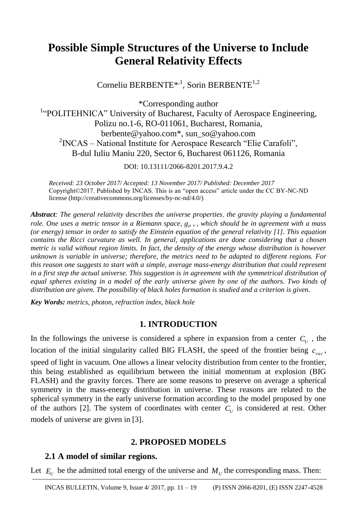# **Possible Simple Structures of the Universe to Include General Relativity Effects**

Corneliu BERBENTE<sup>\*,1</sup>, Sorin BERBENTE<sup>1,2</sup>

\*Corresponding author

<sup>1</sup>"POLITEHNICA" University of Bucharest, Faculty of Aerospace Engineering, Polizu no.1-6, RO-011061, Bucharest, Romania, berbente@yahoo.com\*, sun\_so@yahoo.com  $2NCAS - National Institute for Aerospace Research "Elie Carafoli",$ B-dul Iuliu Maniu 220, Sector 6, Bucharest 061126, Romania

DOI: 10.13111/2066-8201.2017.9.4.2

*Received: 23 October 2017/ Accepted: 13 November 2017/ Published: December 2017* Copyright©2017. Published by INCAS. This is an "open access" article under the CC BY-NC-ND license (http://creativecommons.org/licenses/by-nc-nd/4.0/)

*Abstract: The general relativity describes the universe properties, the gravity playing a fundamental role. One uses a metric tensor in a Riemann space,*  $g_{\mu\nu}$ *, which should be in agreement with a mass (or energy) tensor in order to satisfy the Einstein equation of the general relativity [1]. This equation contains the Ricci curvature as well. In general, applications are done considering that a chosen metric is valid without region limits. In fact, the density of the energy whose distribution is however unknown is variable in universe; therefore, the metrics need to be adapted to different regions. For this reason one suggests to start with a simple, average mass-energy distribution that could represent in a first step the actual universe. This suggestion is in agreement with the symmetrical distribution of*  equal spheres existing in a model of the early universe given by one of the authors. Two kinds of *distribution are given. The possibility of black holes formation is studied and a criterion is given.*

*Key Words: metrics, photon, refraction index, black hole*

## **1. INTRODUCTION**

In the followings the universe is considered a sphere in expansion from a center  $C_U$ , the location of the initial singularity called BIG FLASH, the speed of the frontier being  $c_{\text{vac}}$ , speed of light in vacuum. One allows a linear velocity distribution from center to the frontier, this being established as equilibrium between the initial momentum at explosion (BIG FLASH) and the gravity forces. There are some reasons to preserve on average a spherical symmetry in the mass-energy distribution in universe. These reasons are related to the spherical symmetry in the early universe formation according to the model proposed by one of the authors [2]. The system of coordinates with center  $C_U$  is considered at rest. Other models of universe are given in [3].

# **2. PROPOSED MODELS**

# **2.1 A model of similar regions.**

Let  $E_U$  be the admitted total energy of the universe and  $M_U$  the corresponding mass. Then: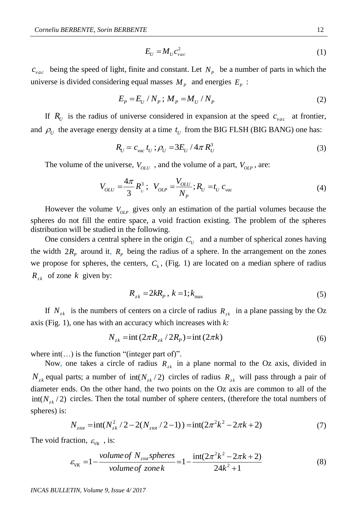$$
E_U = M_U c_{vac}^2 \tag{1}
$$

 $c_{\text{vac}}$  being the speed of light, finite and constant. Let  $N_p$  be a number of parts in which the universe is divided considering equal masses  $M_p$  and energies  $E_p$ :

$$
E_p = E_U / N_P ; M_P = M_U / N_P
$$
 (2)

If  $R_U$  is the radius of universe considered in expansion at the speed  $c_{vac}$  at frontier, and  $\rho_{U}$  the average energy density at a time  $t_{U}$  from the BIG FLSH (BIG BANG) one has:

$$
R_U = c_{vac} t_U; \rho_U = 3E_U / 4\pi R_U^3
$$
\n(3)

The volume of the universe,  $V_{OLU}$ , and the volume of a part,  $V_{OLP}$ , are:

$$
V_{OLU} = \frac{4\pi}{3} R_v^3; \ \ V_{OLP} = \frac{V_{OLU}}{N_P}; R_U = t_U c_{vac}
$$
 (4)

However the volume  $V_{OLP}$  gives only an estimation of the partial volumes because the spheres do not fill the entire space, a void fraction existing. The problem of the spheres distribution will be studied in the following.

One considers a central sphere in the origin  $C_U$  and a number of spherical zones having the width  $2R_p$  around it,  $R_p$  being the radius of a sphere. In the arrangement on the zones we propose for spheres, the centers,  $C_k$ , (Fig. 1) are located on a median sphere of radius  $R_{z_k}$  of zone *k* given by:

$$
R_{z\,} = 2kR_p, k = 1; k_{\text{max}} \tag{5}
$$

If  $N_{z_k}$  is the numbers of centers on a circle of radius  $R_{z_k}$  in a plane passing by the Oz axis (Fig. 1), one has with an accuracy which increases with *k*:<br>  $N_{z\overline{k}} = \text{int} (2\pi R_{z\overline{k}} / 2R_{\overline{p}}) = \text{int} (2\pi k)$ 

$$
N_{z\kappa} = \text{int} \left( 2\pi R_{z\kappa} / 2R_p \right) = \text{int} \left( 2\pi k \right) \tag{6}
$$

where  $int(...)$  is the function "(integer part of)".

Now, one takes a circle of radius  $R_{zk}$  in a plane normal to the Oz axis, divided in  $N_{z_k}$  equal parts; a number of  $int(N_{z_k}/2)$  circles of radius  $R_{z_k}$  will pass through a pair of diameter ends. On the other hand, the two points on the Oz axis are common to all of the int( $N_{z,k}/2$ ) circles. Then the total number of sphere centers, (therefore the total numbers of spheres) is:<br>  $N_{ztot} = \text{int}(N_{z,k}^2/2 - 2(N_{ztot}/2 - 1)) = \text{int}(2\pi^2 k^2 - 2\pi k + 2)$  (7) spheres) is:

$$
N_{z\text{tot}} = \text{int}(N_{z\text{k}}^2 / 2 - 2(N_{z\text{tot}} / 2 - 1)) = \text{int}(2\pi^2 k^2 - 2\pi k + 2) \tag{7}
$$

The void fraction,  $\varepsilon_{VK}$ , is:

ction, 
$$
\varepsilon_{VK}
$$
, is:  
\n
$$
\varepsilon_{VK} = 1 - \frac{volume \ of \ N_{ztot} spheres}{volume \ of \ zone \ k} = 1 - \frac{int(2\pi^2 k^2 - 2\pi k + 2)}{24k^2 + 1}
$$
\n(8)

*INCAS BULLETIN, Volume 9, Issue 4/ 2017*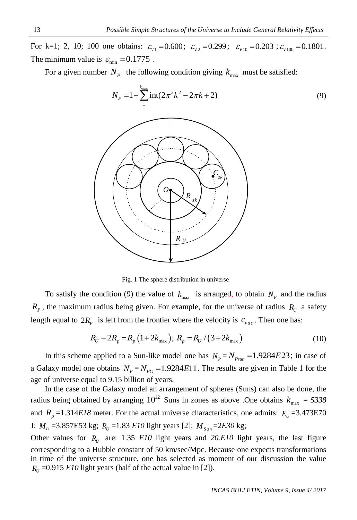For k=1; 2, 10; 100 one obtains:  $\varepsilon_{V1} = 0.600$ ;  $\varepsilon_{V2} = 0.299$ ;  $\varepsilon_{V10} = 0.203$ ;  $\varepsilon_{V100} = 0.1801$ . The minimum value is  $\varepsilon_{\min} = 0.1775$ .

For a given number  $N_p$  the following condition giving  $k_{\text{max}}$  must be satisfied:



Fig. 1 The sphere distribution in universe

To satisfy the condition (9) the value of  $k_{\text{max}}$  is arranged, to obtain  $N_p$  and the radius  $R_p$ , the maximum radius being given. For example, for the universe of radius  $R_U$  a safety

length equal to 
$$
2R_p
$$
 is left from the frontier where the velocity is  $c_{vac}$ . Then one has:  

$$
R_U - 2R_p = R_p (1 + 2k_{max}); R_p = R_U / (3 + 2k_{max})
$$
(10)

In this scheme applied to a Sun-like model one has  $N_p = N_{p_{\text{sum}}} = 1.9284E23$ ; in case of a Galaxy model one obtains  $N_p = N_{pG} = 1.9284E11$ . The results are given in Table 1 for the age of universe equal to 9.15 billion of years.

In the case of the Galaxy model an arrangement of spheres (Suns) can also be done, the radius being obtained by arranging  $10^{12}$  Suns in zones as above .One obtains  $k_{\text{max}} = 5338$ and  $R_p = 1.314E18$  meter. For the actual universe characteristics, one admits:  $E_v = 3.473E70$  $J; M_U = 3.857E53 \text{ kg}; R_U = 1.83 E10 \text{ light years}$  [2];  $M_{Sun} = 2E30 \text{ kg};$ 

Other values for  $R_U$  are: 1.35 *E10* light years and 20.*E10* light years, the last figure corresponding to a Hubble constant of 50 km/sec/Mpc. Because one expects transformations in time of the universe structure, one has selected as moment of our discussion the value  $R_U = 0.915$  *E10* light years (half of the actual value in [2]).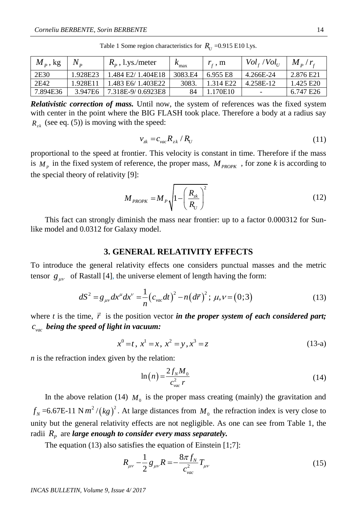| $M_{p}$ , kg | $N_{\rm p}$ | $R_p$ , l.ys./meter | $R_{\text{max}}$ | $r_{\rm c}$ , m       | $Vol_{f}/Vol_{U}$        | $M_p/r_r$ |
|--------------|-------------|---------------------|------------------|-----------------------|--------------------------|-----------|
| 2E30         | 1.928E23    | 1.484 E2/1.404E18   | 3083.E4          | 6.955 E8              | 4.266E-24                | 2.876 E21 |
| 2E42         | 1.928E11    | 1.483 E6/ 1.403E22  | 3083.            | 1.314 E <sub>22</sub> | 4.258E-12                | 1.425 E20 |
| 7.894E36     | 3.947E6     | 7.318E-9/0.6923E8   |                  | 1.170E10              | $\overline{\phantom{a}}$ | 6.747 E26 |

Table 1 Some region characteristics for  $R_U = 0.915 \text{ E10}$  l.ys.

*Relativistic correction of mass.* Until now, the system of references was the fixed system with center in the point where the BIG FLASH took place. Therefore a body at a radius say  $R_{z_k}$  (see eq. (5)) is moving with the speed:

$$
v_{\kappa} = c_{\kappa a c} R_{\kappa k} / R_{U}
$$
\n<sup>(11)</sup>

proportional to the speed at frontier. This velocity is constant in time. Therefore if the mass is  $M_p$  in the fixed system of reference, the proper mass,  $M_{PROPK}$ , for zone *k* is according to the special theory of relativity [9]:

$$
M_{PROPK} = M_P \sqrt{1 - \left(\frac{R_{2k}}{R_U}\right)^2}
$$
 (12)

This fact can strongly diminish the mass near frontier: up to a factor 0.000312 for Sunlike model and 0.0312 for Galaxy model.

#### **3. GENERAL RELATIVITY EFFECTS**

To introduce the general relativity effects one considers punctual masses and the metric

tensor 
$$
g_{\mu\nu}
$$
 of Rastall [4], the universe element of length having the form:  
\n
$$
dS^2 = g_{\mu\nu} dx^{\mu} dx^{\nu} = \frac{1}{n} (c_{\nu\alpha} dt)^2 - n (d\vec{r})^2; \mu, \nu = (0; 3)
$$
\n(13)

where  $t$  is the time,  $\vec{r}$  is the position vector *in the proper system of each considered part*; *vac c being the speed of light in vacuum:*

$$
x^{0} = t, x^{1} = x, x^{2} = y, x^{3} = z
$$
 (13-a)

*n* is the refraction index given by the relation:

$$
\ln(n) = \frac{2f_N M_0}{c_{vac}^2 r}
$$
\n(14)

In the above relation (14)  $M_0$  is the proper mass creating (mainly) the gravitation and  $f_N$  =6.67E-11 N  $m^2/(kg)^2$ . At large distances from  $M_0$  the refraction index is very close to unity but the general relativity effects are not negligible. As one can see from Table 1, the radii  $R_p$  are *large enough to consider every mass separately*.

The equation (13) also satisfies the equation of Einstein [1;7]:

$$
R_{\mu\nu} - \frac{1}{2} g_{\mu\nu} R = -\frac{8\pi f_N}{c_{\text{vac}}^2} T_{\mu\nu} \tag{15}
$$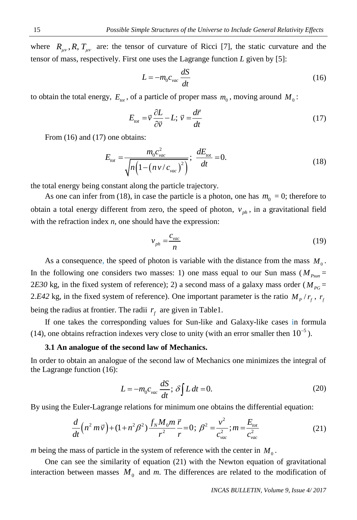where  $R_{\mu\nu}$ ,  $R$ ,  $T_{\mu\nu}$  are: the tensor of curvature of Ricci [7], the static curvature and the tensor of mass, respectively. First one uses the Lagrange function *L* given by [5]:

$$
L = -m_0 c_{\text{vac}} \frac{dS}{dt} \tag{16}
$$

to obtain the total energy,  $E_{tot}$ , of a particle of proper mass  $m_0$ , moving around  $M_0$ :

$$
E_{\text{tot}} = \vec{v} \frac{\partial L}{\partial \vec{v}} - L; \ \vec{v} = \frac{d\vec{r}}{dt}
$$
 (17)

From  $(16)$  and  $(17)$  one obtains:

$$
E_{tot} = \frac{m_0 c_{vac}^2}{\sqrt{n \left(1 - \left(n \frac{v}{c_{vac}}\right)^2\right)}}; \frac{dE_{tot}}{dt} = 0.
$$
 (18)

the total energy being constant along the particle trajectory.

As one can infer from (18), in case the particle is a photon, one has  $m_0 = 0$ ; therefore to obtain a total energy different from zero, the speed of photon,  $v_{ph}$ , in a gravitational field with the refraction index *n*, one should have the expression:

$$
v_{ph} = \frac{c_{\text{vac}}}{n} \tag{19}
$$

As a consequence, the speed of photon is variable with the distance from the mass  $M_0$ . In the following one considers two masses: 1) one mass equal to our Sun mass ( $M_{P_{sum}}$  = 2*E30* kg, in the fixed system of reference); 2) a second mass of a galaxy mass order ( $M_{PG}$  = 2.*E42* kg, in the fixed system of reference). One important parameter is the ratio  $M<sub>p</sub>/r<sub>f</sub>$ ,  $r<sub>f</sub>$ being the radius at frontier. The radii  $r_f$  are given in Table1.

If one takes the corresponding values for Sun-like and Galaxy-like cases in formula (14), one obtains refraction indexes very close to unity (with an error smaller then  $10^{-5}$ ).

#### **3.1 An analogue of the second law of Mechanics.**

In order to obtain an analogue of the second law of Mechanics one minimizes the integral of the Lagrange function (16):

$$
L = -m_0 c_{\text{vac}} \frac{dS}{dt}; \delta \int L dt = 0.
$$
 (20)

By using the Euler-Lagrange relations for minimum one obtains the differential equation:  
\n
$$
\frac{d}{dt}\left(n^2 m \vec{v}\right) + (1 + n^2 \beta^2) \frac{f_N M_0 m}{r^2} \frac{\vec{r}}{r} = 0; \ \beta^2 = \frac{v^2}{c_{vac}^2}; m = \frac{E_{tot}}{c_{vac}^2}
$$
\n(21)

*m* being the mass of particle in the system of reference with the center in  $M_0$ .

One can see the similarity of equation (21) with the Newton equation of gravitational interaction between masses  $M_0$  and  $m$ . The differences are related to the modification of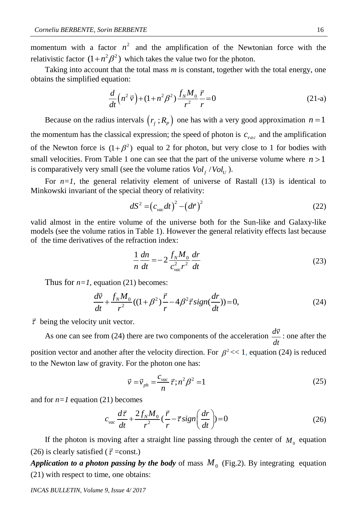momentum with a factor  $n^2$  and the amplification of the Newtonian force with the relativistic factor  $(1+n^2\beta^2)$  which takes the value two for the photon.

Taking into account that the total mass *m* is constant, together with the total energy, one obtains the simplified equation:

$$
\frac{d}{dt}\left(n^2\,\vec{v}\right) + (1+n^2\beta^2)\frac{f_N M_0}{r^2}\frac{\vec{r}}{r} = 0\tag{21-a}
$$

Because on the radius intervals  $(r_f; R_p)$  one has with a very good approximation  $n = 1$ the momentum has the classical expression; the speed of photon is  $c_{vac}$  and the amplification of the Newton force is  $(1+\beta^2)$  equal to 2 for photon, but very close to 1 for bodies with small velocities. From Table 1 one can see that the part of the universe volume where  $n > 1$ is comparatively very small (see the volume ratios  $Vol_f / Vol_U$ ).

For  $n=1$ , the general relativity element of universe of Rastall (13) is identical to Minkowski invariant of the special theory of relativity:

$$
dS^{2} = \left(c_{\text{vac}}dt\right)^{2} - \left(d\vec{r}\right)^{2} \tag{22}
$$

valid almost in the entire volume of the universe both for the Sun-like and Galaxy-like models (see the volume ratios in Table 1). However the general relativity effects last because of the time derivatives of the refraction index:

$$
\frac{1}{n}\frac{dn}{dt} = -2\frac{f_N M_0}{c_{vac}^2 r^2}\frac{dr}{dt}
$$
\n(23)

Thus for 
$$
n=1
$$
, equation (21) becomes:  
\n
$$
\frac{d\vec{v}}{dt} + \frac{f_N M_0}{r^2}((1+\beta^2)\frac{\vec{r}}{r} - 4\beta^2 \vec{\tau} sign(\frac{dr}{dt})) = 0,
$$
\n(24)

 $\vec{\tau}$  being the velocity unit vector.

As one can see from (24) there are two components of the acceleration  $\frac{d\vec{v}}{dt}$ *dt* : one after the position vector and another after the velocity direction. For  $\beta^2 \ll 1$ , equation (24) is reduced to the Newton law of gravity. For the photon one has:

$$
\vec{v} = \vec{v}_{ph} = \frac{c_{vac}}{n} \vec{\tau}; n^2 \beta^2 = 1
$$
\n(25)

and for *n=1* equation (21) becomes

$$
c_{\text{vac}} \frac{d\vec{\tau}}{dt} + \frac{2f_N M_0}{r^2} (\frac{\vec{r}}{r} - \vec{\tau} \, sign\left(\frac{dr}{dt}\right)) = 0 \tag{26}
$$

If the photon is moving after a straight line passing through the center of  $M_0$  equation (26) is clearly satisfied ( $\vec{\tau}$  =const.)

*Application to a photon passing by the body* of mass  $M_0$  (Fig.2). By integrating equation (21) with respect to time, one obtains:

*INCAS BULLETIN, Volume 9, Issue 4/ 2017*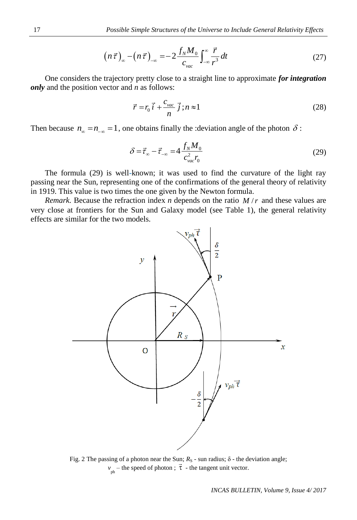$$
\left(n\,\vec{\tau}\,\right)_{-\infty} - \left(n\,\vec{\tau}\,\right)_{-\infty} = -\,2\,\frac{f_N M_0}{c_{vac}} \int_{-\infty}^{\infty} \frac{\vec{r}}{r^3} \,dt\tag{27}
$$

One considers the trajectory pretty close to a straight line to approximate *for integration only* and the position vector and *n* as follows:

$$
\vec{r} = r_0 \vec{i} + \frac{c_{\text{vac}}}{n} \vec{j}; n \approx 1 \tag{28}
$$

Then because  $n_{\infty} = n_{-\infty} = 1$ , one obtains finally the :deviation angle of the photon  $\delta$ :

$$
\delta = \vec{\tau}_{\infty} - \vec{\tau}_{-\infty} = 4 \frac{f_N M_0}{c_{vac}^2 r_0}
$$
\n(29)

The formula (29) is well-known; it was used to find the curvature of the light ray passing near the Sun, representing one of the confirmations of the general theory of relativity in 1919. This value is two times the one given by the Newton formula.

*Remark.* Because the refraction index *n* depends on the ratio  $M/r$  and these values are very close at frontiers for the Sun and Galaxy model (see Table 1), the general relativity effects are similar for the two models.



Fig. 2 The passing of a photon near the Sun;  $R_S$  - sun radius; δ - the deviation angle;  $v_{ph}$  – the speed of photon ;  $\vec{\tau}$  - the tangent unit vector.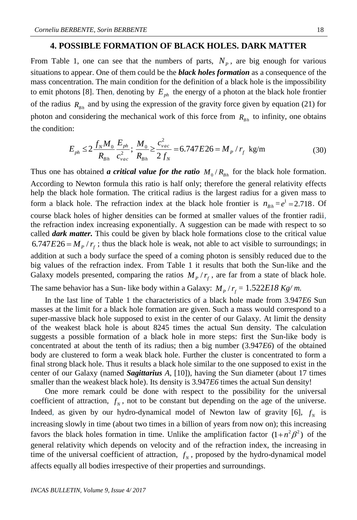### **4. POSSIBLE FORMATION OF BLACK HOLES. DARK MATTER**

From Table 1, one can see that the numbers of parts,  $N_p$ , are big enough for various situations to appear. One of them could be the *black holes formation* as a consequence of the mass concentration. The main condition for the definition of a black hole is the impossibility to emit photons [8]. Then, denoting by  $E_{ph}$  the energy of a photon at the black hole frontier of the radius  $R_{Bh}$  and by using the expression of the gravity force given by equation (21) for photon and considering the mechanical work of this force from  $R_{Bh}$  to infinity, one obtains the condition:

n:  
\n
$$
E_{ph} \le 2 \frac{f_N M_0}{R_{Bh}} \frac{E_{ph}}{c_{vac}^2}; \frac{M_0}{R_{Bh}} \ge \frac{c_{vac}^2}{2 f_N} = 6.747 E 26 = M_p / r_f \text{ kg/m}
$$
\n(30)

Thus one has obtained *a critical value for the ratio*  $M_0/R_{Bh}$  for the black hole formation. According to Newton formula this ratio is half only; therefore the general relativity effects help the black hole formation. The critical radius is the largest radius for a given mass to form a black hole. The refraction index at the black hole frontier is  $n_{bh} = e^1 = 2.718$ . Of course black holes of higher densities can be formed at smaller values of the frontier radii, the refraction index increasing exponentially. A suggestion can be made with respect to so called *dark matter.* This could be given by black hole formations close to the critical value 6.747 $E$ 26 =  $M<sub>p</sub> / r<sub>f</sub>$ ; thus the black hole is weak, not able to act visible to surroundings; in addition at such a body surface the speed of a coming photon is sensibly reduced due to the big values of the refraction index. From Table 1 it results that both the Sun-like and the Galaxy models presented, comparing the ratios  $M<sub>p</sub>/r<sub>f</sub>$ , are far from a state of black hole.

The same behavior has a Sun- like body within a Galaxy:  $M_p/r_f = 1.522E18$  Kg/m.

In the last line of Table 1 the characteristics of a black hole made from 3.947*E6* Sun masses at the limit for a black hole formation are given. Such a mass would correspond to a super-massive black hole supposed to exist in the center of our Galaxy. At limit the density of the weakest black hole is about 8245 times the actual Sun density. The calculation suggests a possible formation of a black hole in more steps: first the Sun-like body is concentrated at about the tenth of its radius; then a big number (3.947*E6*) of the obtained body are clustered to form a weak black hole. Further the cluster is concentrated to form a final strong black hole. Thus it results a black hole similar to the one supposed to exist in the center of our Galaxy (named *Sagittarius A*, [10]), having the Sun diameter (about 17 times smaller than the weakest black hole). Its density is 3.947*E6* times the actual Sun density!

One more remark could be done with respect to the possibility for the universal coefficient of attraction,  $f_N$ , not to be constant but depending on the age of the universe. Indeed, as given by our hydro-dynamical model of Newton law of gravity [6],  $f_N$  is increasing slowly in time (about two times in a billion of years from now on); this increasing favors the black holes formation in time. Unlike the amplification factor  $(1+n^2\beta^2)$  of the general relativity which depends on velocity and of the refraction index, the increasing in time of the universal coefficient of attraction,  $f_N$ , proposed by the hydro-dynamical model affects equally all bodies irrespective of their properties and surroundings.